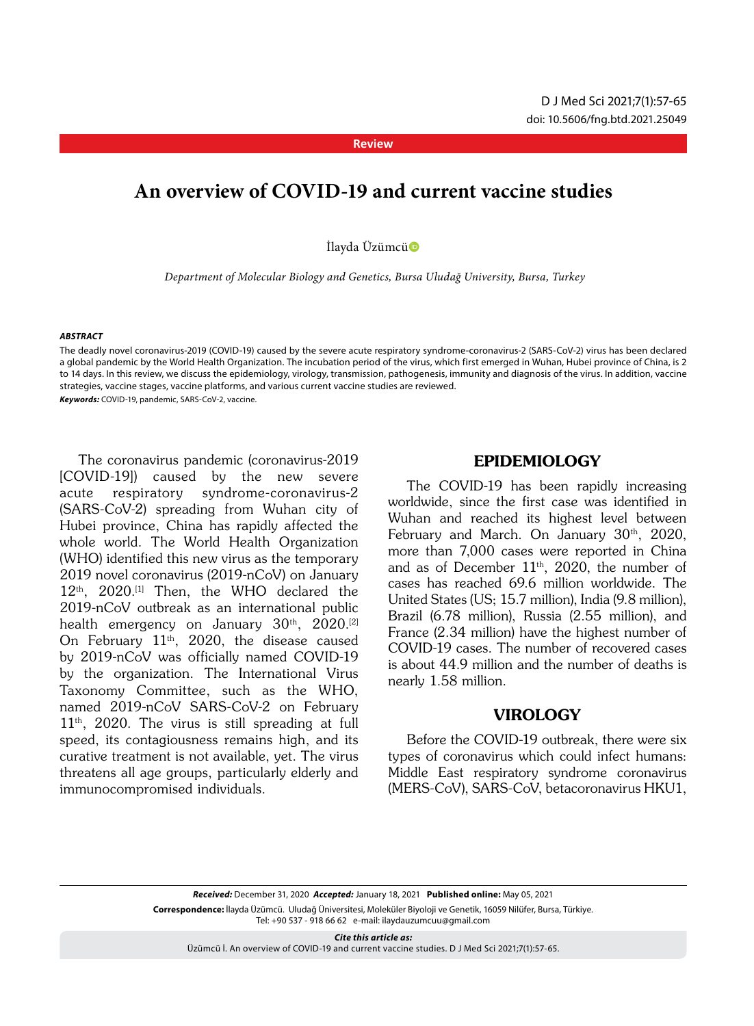#### **Review**

# **An overview of COVID-19 and current vaccine studies**

İlayda Üzümcü

 *Department of Molecular Biology and Genetics, Bursa Uludağ University, Bursa, Turkey*

#### *ABSTRACT*

The deadly novel coronavirus-2019 (COVID-19) caused by the severe acute respiratory syndrome-coronavirus-2 (SARS-CoV-2) virus has been declared a global pandemic by the World Health Organization. The incubation period of the virus, which first emerged in Wuhan, Hubei province of China, is 2 to 14 days. In this review, we discuss the epidemiology, virology, transmission, pathogenesis, immunity and diagnosis of the virus. In addition, vaccine strategies, vaccine stages, vaccine platforms, and various current vaccine studies are reviewed. *Keywords:* COVID-19, pandemic, SARS-CoV-2, vaccine.

The coronavirus pandemic (coronavirus-2019 [COVID-19]) caused by the new severe acute respiratory syndrome-coronavirus-2 (SARS-CoV-2) spreading from Wuhan city of Hubei province, China has rapidly affected the whole world. The World Health Organization (WHO) identified this new virus as the temporary 2019 novel coronavirus (2019-nCoV) on January  $12<sup>th</sup>$ ,  $2020<sup>[1]</sup>$  Then, the WHO declared the 2019-nCoV outbreak as an international public health emergency on January 30<sup>th</sup>, 2020.<sup>[2]</sup> On February  $11<sup>th</sup>$ , 2020, the disease caused by 2019-nCoV was officially named COVID-19 by the organization. The International Virus Taxonomy Committee, such as the WHO, named 2019-nCoV SARS-CoV-2 on February  $11<sup>th</sup>$ , 2020. The virus is still spreading at full speed, its contagiousness remains high, and its curative treatment is not available, yet. The virus threatens all age groups, particularly elderly and immunocompromised individuals.

# Epidemiology

The COVID-19 has been rapidly increasing worldwide, since the first case was identified in Wuhan and reached its highest level between February and March. On January  $30<sup>th</sup>$ ,  $2020$ , more than 7,000 cases were reported in China and as of December  $11<sup>th</sup>$ , 2020, the number of cases has reached 69.6 million worldwide. The United States (US; 15.7 million), India (9.8 million), Brazil (6.78 million), Russia (2.55 million), and France (2.34 million) have the highest number of COVID-19 cases. The number of recovered cases is about 44.9 million and the number of deaths is nearly 1.58 million.

# **VIROLOGY**

Before the COVID-19 outbreak, there were six types of coronavirus which could infect humans: Middle East respiratory syndrome coronavirus (MERS-CoV), SARS-CoV, betacoronavirus HKU1,

*Received:* December 31, 2020 *Accepted:* January 18, 2021 **Published online:** May 05, 2021 **Correspondence:** İlayda Üzümcü. Uludağ Üniversitesi, Moleküler Biyoloji ve Genetik, 16059 Nilüfer, Bursa, Türkiye. Tel: +90 537 - 918 66 62 e-mail: ilaydauzumcuu@gmail.com

*Cite this article as:* Üzümcü İ. An overview of COVID-19 and current vaccine studies. D J Med Sci 2021;7(1):57-65.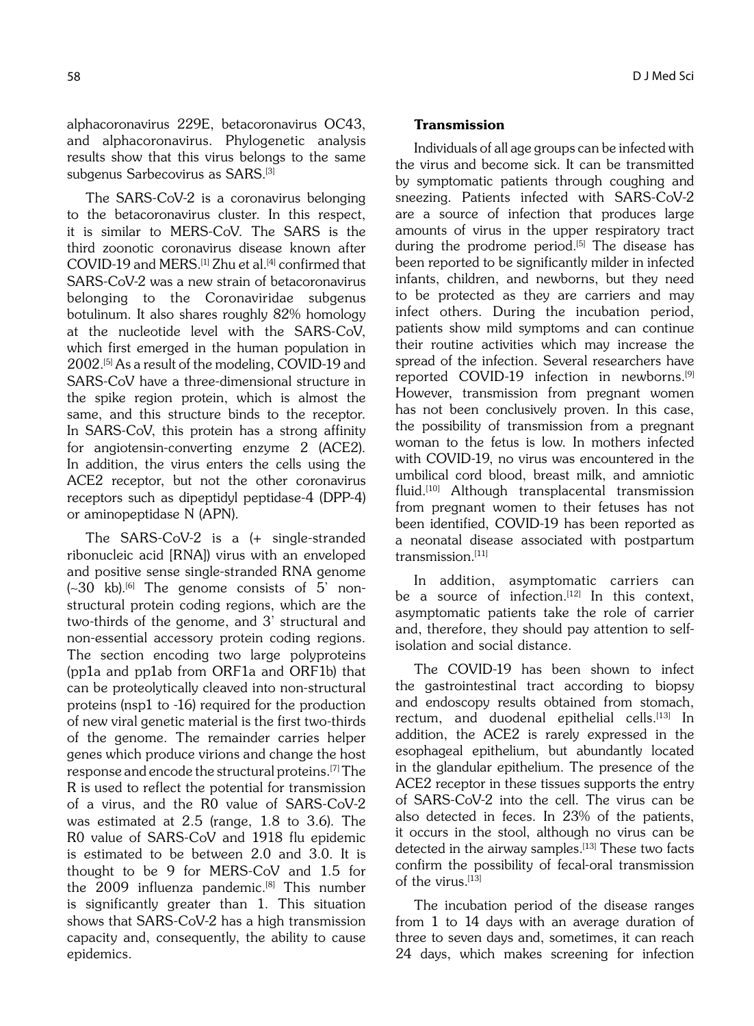alphacoronavirus 229E, betacoronavirus OC43, and alphacoronavirus. Phylogenetic analysis results show that this virus belongs to the same subgenus Sarbecovirus as SARS.<sup>[3]</sup>

The SARS-CoV-2 is a coronavirus belonging to the betacoronavirus cluster. In this respect, it is similar to MERS-CoV. The SARS is the third zoonotic coronavirus disease known after COVID-19 and MERS.[1] Zhu et al.[4] confirmed that SARS-CoV-2 was a new strain of betacoronavirus belonging to the Coronaviridae subgenus botulinum. It also shares roughly 82% homology at the nucleotide level with the SARS-CoV, which first emerged in the human population in 2002.[5] As a result of the modeling, COVID-19 and SARS-CoV have a three-dimensional structure in the spike region protein, which is almost the same, and this structure binds to the receptor. In SARS-CoV, this protein has a strong affinity for angiotensin-converting enzyme 2 (ACE2). In addition, the virus enters the cells using the ACE2 receptor, but not the other coronavirus receptors such as dipeptidyl peptidase-4 (DPP-4) or aminopeptidase N (APN).

The SARS-CoV-2 is a (+ single-stranded ribonucleic acid [RNA]) virus with an enveloped and positive sense single-stranded RNA genome  $(-30 \text{ kb})$ .<sup>[6]</sup> The genome consists of 5' nonstructural protein coding regions, which are the two-thirds of the genome, and 3' structural and non-essential accessory protein coding regions. The section encoding two large polyproteins (pp1a and pp1ab from ORF1a and ORF1b) that can be proteolytically cleaved into non-structural proteins (nsp1 to -16) required for the production of new viral genetic material is the first two-thirds of the genome. The remainder carries helper genes which produce virions and change the host response and encode the structural proteins.[7] The R is used to reflect the potential for transmission of a virus, and the R0 value of SARS-CoV-2 was estimated at 2.5 (range, 1.8 to 3.6). The R0 value of SARS-CoV and 1918 flu epidemic is estimated to be between 2.0 and 3.0. It is thought to be 9 for MERS-CoV and 1.5 for the  $2009$  influenza pandemic.<sup>[8]</sup> This number is significantly greater than 1. This situation shows that SARS-CoV-2 has a high transmission capacity and, consequently, the ability to cause epidemics.

### 58 D J Med Sci

# Transmission

Individuals of all age groups can be infected with the virus and become sick. It can be transmitted by symptomatic patients through coughing and sneezing. Patients infected with SARS-CoV-2 are a source of infection that produces large amounts of virus in the upper respiratory tract during the prodrome period.<sup>[5]</sup> The disease has been reported to be significantly milder in infected infants, children, and newborns, but they need to be protected as they are carriers and may infect others. During the incubation period, patients show mild symptoms and can continue their routine activities which may increase the spread of the infection. Several researchers have reported COVID-19 infection in newborns.[9] However, transmission from pregnant women has not been conclusively proven. In this case, the possibility of transmission from a pregnant woman to the fetus is low. In mothers infected with COVID-19, no virus was encountered in the umbilical cord blood, breast milk, and amniotic fluid.[10] Although transplacental transmission from pregnant women to their fetuses has not been identified, COVID-19 has been reported as a neonatal disease associated with postpartum transmission.<sup>[11]</sup>

In addition, asymptomatic carriers can be a source of infection.<sup>[12]</sup> In this context, asymptomatic patients take the role of carrier and, therefore, they should pay attention to selfisolation and social distance.

The COVID-19 has been shown to infect the gastrointestinal tract according to biopsy and endoscopy results obtained from stomach, rectum, and duodenal epithelial cells.<sup>[13]</sup> In addition, the ACE2 is rarely expressed in the esophageal epithelium, but abundantly located in the glandular epithelium. The presence of the ACE2 receptor in these tissues supports the entry of SARS-CoV-2 into the cell. The virus can be also detected in feces. In 23% of the patients, it occurs in the stool, although no virus can be detected in the airway samples.<sup>[13]</sup> These two facts confirm the possibility of fecal-oral transmission of the virus.<sup>[13]</sup>

The incubation period of the disease ranges from 1 to 14 days with an average duration of three to seven days and, sometimes, it can reach 24 days, which makes screening for infection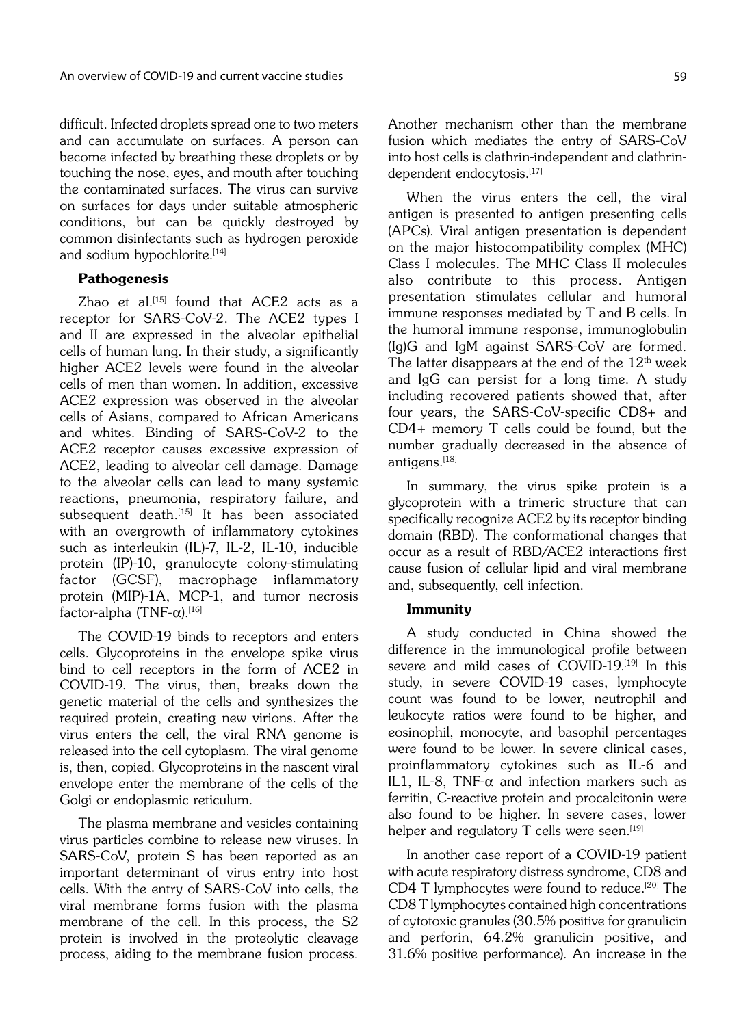difficult. Infected droplets spread one to two meters and can accumulate on surfaces. A person can become infected by breathing these droplets or by touching the nose, eyes, and mouth after touching the contaminated surfaces. The virus can survive on surfaces for days under suitable atmospheric conditions, but can be quickly destroyed by common disinfectants such as hydrogen peroxide and sodium hypochlorite.<sup>[14]</sup>

# Pathogenesis

Zhao et al.<sup>[15]</sup> found that  $ACE2$  acts as a receptor for SARS-CoV-2. The ACE2 types I and II are expressed in the alveolar epithelial cells of human lung. In their study, a significantly higher ACE2 levels were found in the alveolar cells of men than women. In addition, excessive ACE2 expression was observed in the alveolar cells of Asians, compared to African Americans and whites. Binding of SARS-CoV-2 to the ACE2 receptor causes excessive expression of ACE2, leading to alveolar cell damage. Damage to the alveolar cells can lead to many systemic reactions, pneumonia, respiratory failure, and subsequent death.<sup>[15]</sup> It has been associated with an overgrowth of inflammatory cytokines such as interleukin (IL)-7, IL-2, IL-10, inducible protein (IP)-10, granulocyte colony-stimulating factor (GCSF), macrophage inflammatory protein (MIP)-1A, MCP-1, and tumor necrosis factor-alpha (TNF- $\alpha$ ).<sup>[16]</sup>

The COVID-19 binds to receptors and enters cells. Glycoproteins in the envelope spike virus bind to cell receptors in the form of ACE2 in COVID-19. The virus, then, breaks down the genetic material of the cells and synthesizes the required protein, creating new virions. After the virus enters the cell, the viral RNA genome is released into the cell cytoplasm. The viral genome is, then, copied. Glycoproteins in the nascent viral envelope enter the membrane of the cells of the Golgi or endoplasmic reticulum.

The plasma membrane and vesicles containing virus particles combine to release new viruses. In SARS-CoV, protein S has been reported as an important determinant of virus entry into host cells. With the entry of SARS-CoV into cells, the viral membrane forms fusion with the plasma membrane of the cell. In this process, the S2 protein is involved in the proteolytic cleavage process, aiding to the membrane fusion process. Another mechanism other than the membrane fusion which mediates the entry of SARS-CoV into host cells is clathrin-independent and clathrindependent endocytosis.<sup>[17]</sup>

When the virus enters the cell, the viral antigen is presented to antigen presenting cells (APCs). Viral antigen presentation is dependent on the major histocompatibility complex (MHC) Class I molecules. The MHC Class II molecules also contribute to this process. Antigen presentation stimulates cellular and humoral immune responses mediated by T and B cells. In the humoral immune response, immunoglobulin (Ig)G and IgM against SARS-CoV are formed. The latter disappears at the end of the  $12<sup>th</sup>$  week and IgG can persist for a long time. A study including recovered patients showed that, after four years, the SARS-CoV-specific CD8+ and CD4+ memory T cells could be found, but the number gradually decreased in the absence of antigens.[18]

In summary, the virus spike protein is a glycoprotein with a trimeric structure that can specifically recognize ACE2 by its receptor binding domain (RBD). The conformational changes that occur as a result of RBD/ACE2 interactions first cause fusion of cellular lipid and viral membrane and, subsequently, cell infection.

# Immunity

A study conducted in China showed the difference in the immunological profile between severe and mild cases of COVID-19.<sup>[19]</sup> In this study, in severe COVID-19 cases, lymphocyte count was found to be lower, neutrophil and leukocyte ratios were found to be higher, and eosinophil, monocyte, and basophil percentages were found to be lower. In severe clinical cases, proinflammatory cytokines such as IL-6 and IL1, IL-8, TNF- $\alpha$  and infection markers such as ferritin, C-reactive protein and procalcitonin were also found to be higher. In severe cases, lower helper and regulatory  $T$  cells were seen.<sup>[19]</sup>

In another case report of a COVID-19 patient with acute respiratory distress syndrome, CD8 and CD4 T lymphocytes were found to reduce.<sup>[20]</sup> The CD8 T lymphocytes contained high concentrations of cytotoxic granules (30.5% positive for granulicin and perforin, 64.2% granulicin positive, and 31.6% positive performance). An increase in the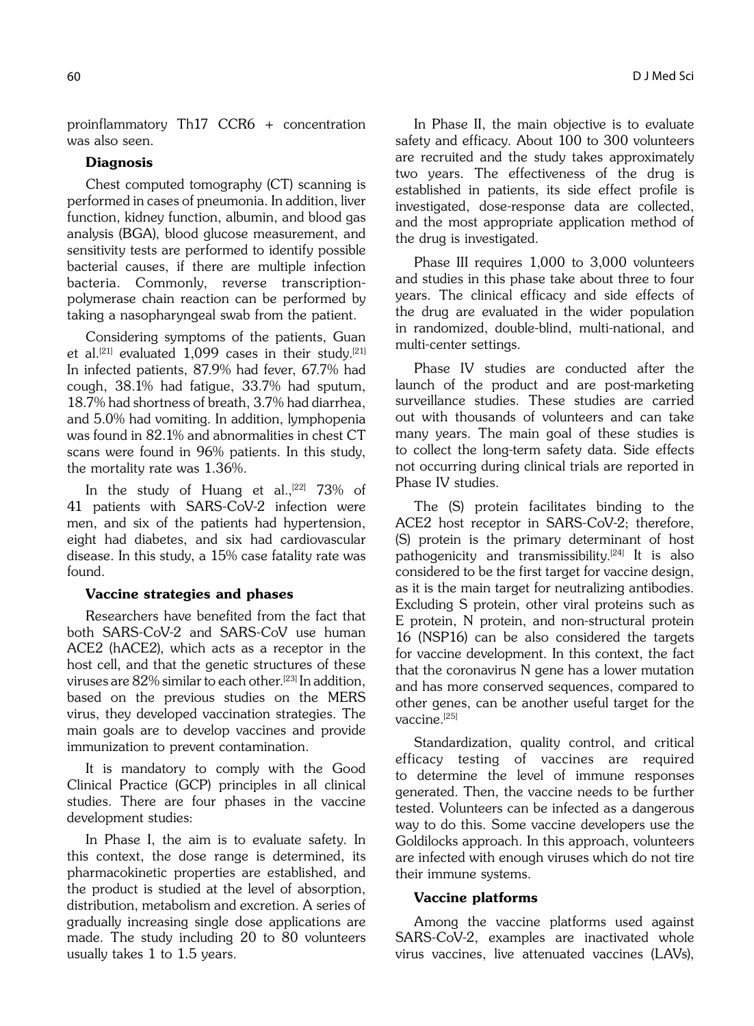proinflammatory Th17 CCR6 + concentration was also seen.

# **Diagnosis**

Chest computed tomography (CT) scanning is performed in cases of pneumonia. In addition, liver function, kidney function, albumin, and blood gas analysis (BGA), blood glucose measurement, and sensitivity tests are performed to identify possible bacterial causes, if there are multiple infection bacteria. Commonly, reverse transcriptionpolymerase chain reaction can be performed by taking a nasopharyngeal swab from the patient.

Considering symptoms of the patients, Guan et al.<sup>[21]</sup> evaluated 1,099 cases in their study.<sup>[21]</sup> In infected patients, 87.9% had fever, 67.7% had cough, 38.1% had fatigue, 33.7% had sputum, 18.7% had shortness of breath, 3.7% had diarrhea, and 5.0% had vomiting. In addition, lymphopenia was found in 82.1% and abnormalities in chest CT scans were found in 96% patients. In this study, the mortality rate was 1.36%.

In the study of Huang et al.,<sup>[22]</sup> 73% of 41 patients with SARS-CoV-2 infection were men, and six of the patients had hypertension, eight had diabetes, and six had cardiovascular disease. In this study, a 15% case fatality rate was found.

# Vaccine strategies and phases

Researchers have benefited from the fact that both SARS-CoV-2 and SARS-CoV use human ACE2 (hACE2), which acts as a receptor in the host cell, and that the genetic structures of these viruses are  $82\%$  similar to each other.<sup>[23]</sup> In addition, based on the previous studies on the MERS virus, they developed vaccination strategies. The main goals are to develop vaccines and provide immunization to prevent contamination.

It is mandatory to comply with the Good Clinical Practice (GCP) principles in all clinical studies. There are four phases in the vaccine development studies:

In Phase I, the aim is to evaluate safety. In this context, the dose range is determined, its pharmacokinetic properties are established, and the product is studied at the level of absorption, distribution, metabolism and excretion. A series of gradually increasing single dose applications are made. The study including 20 to 80 volunteers usually takes 1 to 1.5 years.

In Phase II, the main objective is to evaluate safety and efficacy. About 100 to 300 volunteers are recruited and the study takes approximately two years. The effectiveness of the drug is established in patients, its side effect profile is investigated, dose-response data are collected, and the most appropriate application method of the drug is investigated.

Phase III requires 1,000 to 3,000 volunteers and studies in this phase take about three to four years. The clinical efficacy and side effects of the drug are evaluated in the wider population in randomized, double-blind, multi-national, and multi-center settings.

Phase IV studies are conducted after the launch of the product and are post-marketing surveillance studies. These studies are carried out with thousands of volunteers and can take many years. The main goal of these studies is to collect the long-term safety data. Side effects not occurring during clinical trials are reported in Phase IV studies.

The (S) protein facilitates binding to the ACE2 host receptor in SARS-CoV-2; therefore, (S) protein is the primary determinant of host pathogenicity and transmissibility.<sup>[24]</sup> It is also considered to be the first target for vaccine design, as it is the main target for neutralizing antibodies. Excluding S protein, other viral proteins such as E protein, N protein, and non-structural protein 16 (NSP16) can be also considered the targets for vaccine development. In this context, the fact that the coronavirus N gene has a lower mutation and has more conserved sequences, compared to other genes, can be another useful target for the vaccine.<sup>[25]</sup>

Standardization, quality control, and critical efficacy testing of vaccines are required to determine the level of immune responses generated. Then, the vaccine needs to be further tested. Volunteers can be infected as a dangerous way to do this. Some vaccine developers use the Goldilocks approach. In this approach, volunteers are infected with enough viruses which do not tire their immune systems.

### Vaccine platforms

Among the vaccine platforms used against SARS-CoV-2, examples are inactivated whole virus vaccines, live attenuated vaccines (LAVs),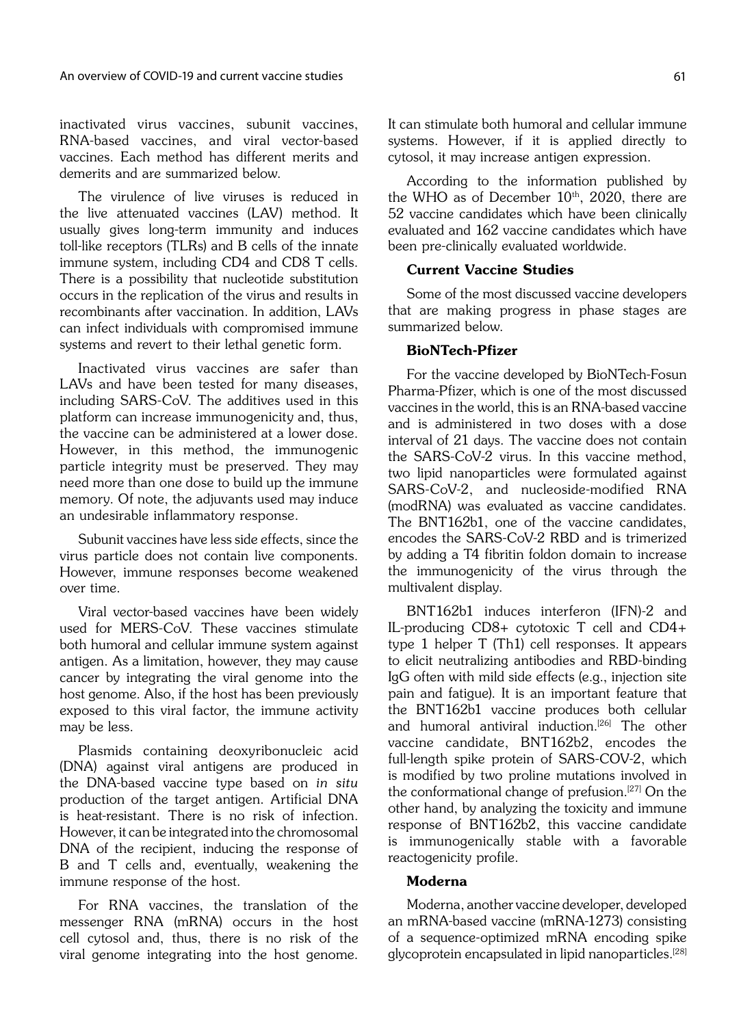inactivated virus vaccines, subunit vaccines, RNA-based vaccines, and viral vector-based vaccines. Each method has different merits and demerits and are summarized below.

The virulence of live viruses is reduced in the live attenuated vaccines (LAV) method. It usually gives long-term immunity and induces toll-like receptors (TLRs) and B cells of the innate immune system, including CD4 and CD8 T cells. There is a possibility that nucleotide substitution occurs in the replication of the virus and results in recombinants after vaccination. In addition, LAVs can infect individuals with compromised immune systems and revert to their lethal genetic form.

Inactivated virus vaccines are safer than LAVs and have been tested for many diseases, including SARS-CoV. The additives used in this platform can increase immunogenicity and, thus, the vaccine can be administered at a lower dose. However, in this method, the immunogenic particle integrity must be preserved. They may need more than one dose to build up the immune memory. Of note, the adjuvants used may induce an undesirable inflammatory response.

Subunit vaccines have less side effects, since the virus particle does not contain live components. However, immune responses become weakened over time.

Viral vector-based vaccines have been widely used for MERS-CoV. These vaccines stimulate both humoral and cellular immune system against antigen. As a limitation, however, they may cause cancer by integrating the viral genome into the host genome. Also, if the host has been previously exposed to this viral factor, the immune activity may be less.

Plasmids containing deoxyribonucleic acid (DNA) against viral antigens are produced in the DNA-based vaccine type based on in situ production of the target antigen. Artificial DNA is heat-resistant. There is no risk of infection. However, it can be integrated into the chromosomal DNA of the recipient, inducing the response of B and T cells and, eventually, weakening the immune response of the host.

For RNA vaccines, the translation of the messenger RNA (mRNA) occurs in the host cell cytosol and, thus, there is no risk of the viral genome integrating into the host genome.

It can stimulate both humoral and cellular immune systems. However, if it is applied directly to cytosol, it may increase antigen expression.

According to the information published by the WHO as of December  $10<sup>th</sup>$ , 2020, there are 52 vaccine candidates which have been clinically evaluated and 162 vaccine candidates which have been pre-clinically evaluated worldwide.

# Current Vaccine Studies

Some of the most discussed vaccine developers that are making progress in phase stages are summarized below.

# BioNTech-Pfizer

For the vaccine developed by BioNTech-Fosun Pharma-Pfizer, which is one of the most discussed vaccines in the world, this is an RNA-based vaccine and is administered in two doses with a dose interval of 21 days. The vaccine does not contain the SARS-CoV-2 virus. In this vaccine method, two lipid nanoparticles were formulated against SARS-CoV-2, and nucleoside-modified RNA (modRNA) was evaluated as vaccine candidates. The BNT162b1, one of the vaccine candidates, encodes the SARS-CoV-2 RBD and is trimerized by adding a T4 fibritin foldon domain to increase the immunogenicity of the virus through the multivalent display.

BNT162b1 induces interferon (IFN)-2 and IL-producing CD8+ cytotoxic T cell and CD4+ type 1 helper T (Th1) cell responses. It appears to elicit neutralizing antibodies and RBD-binding IgG often with mild side effects (e.g., injection site pain and fatigue). It is an important feature that the BNT162b1 vaccine produces both cellular and humoral antiviral induction.<sup>[26]</sup> The other vaccine candidate, BNT162b2, encodes the full-length spike protein of SARS-COV-2, which is modified by two proline mutations involved in the conformational change of prefusion.<sup>[27]</sup> On the other hand, by analyzing the toxicity and immune response of BNT162b2, this vaccine candidate is immunogenically stable with a favorable reactogenicity profile.

# Moderna

Moderna, another vaccine developer, developed an mRNA-based vaccine (mRNA-1273) consisting of a sequence-optimized mRNA encoding spike glycoprotein encapsulated in lipid nanoparticles.[28]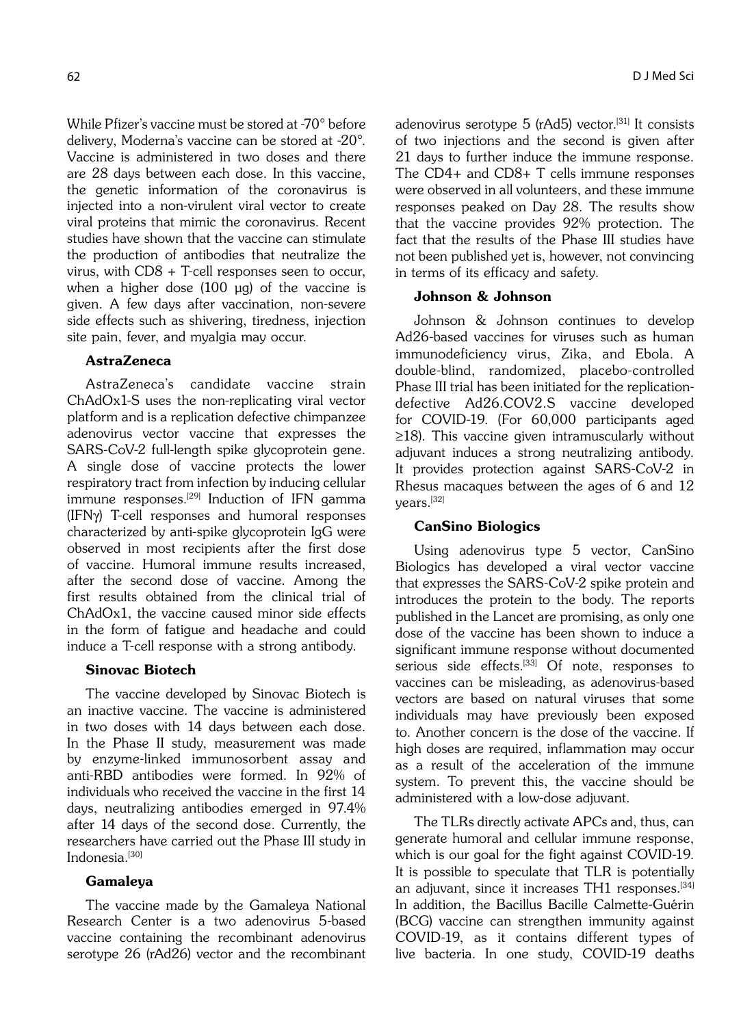While Pfizer's vaccine must be stored at -70° before delivery, Moderna's vaccine can be stored at -20°. Vaccine is administered in two doses and there are 28 days between each dose. In this vaccine, the genetic information of the coronavirus is injected into a non-virulent viral vector to create viral proteins that mimic the coronavirus. Recent studies have shown that the vaccine can stimulate the production of antibodies that neutralize the virus, with CD8 + T-cell responses seen to occur, when a higher dose (100 μg) of the vaccine is given. A few days after vaccination, non-severe side effects such as shivering, tiredness, injection site pain, fever, and myalgia may occur.

# AstraZeneca

AstraZeneca's candidate vaccine strain ChAdOx1-S uses the non-replicating viral vector platform and is a replication defective chimpanzee adenovirus vector vaccine that expresses the SARS-CoV-2 full-length spike glycoprotein gene. A single dose of vaccine protects the lower respiratory tract from infection by inducing cellular immune responses.<sup>[29]</sup> Induction of IFN gamma (IFNg) T-cell responses and humoral responses characterized by anti-spike glycoprotein IgG were observed in most recipients after the first dose of vaccine. Humoral immune results increased, after the second dose of vaccine. Among the first results obtained from the clinical trial of ChAdOx1, the vaccine caused minor side effects in the form of fatigue and headache and could induce a T-cell response with a strong antibody.

### Sinovac Biotech

The vaccine developed by Sinovac Biotech is an inactive vaccine. The vaccine is administered in two doses with 14 days between each dose. In the Phase II study, measurement was made by enzyme-linked immunosorbent assay and anti-RBD antibodies were formed. In 92% of individuals who received the vaccine in the first 14 days, neutralizing antibodies emerged in 97.4% after 14 days of the second dose. Currently, the researchers have carried out the Phase III study in Indonesia.<sup>[30]</sup>

# Gamaleya

The vaccine made by the Gamaleya National Research Center is a two adenovirus 5-based vaccine containing the recombinant adenovirus serotype 26 (rAd26) vector and the recombinant adenovirus serotype 5 (rAd5) vector.<sup>[31]</sup> It consists of two injections and the second is given after 21 days to further induce the immune response. The CD4+ and CD8+ T cells immune responses were observed in all volunteers, and these immune responses peaked on Day 28. The results show that the vaccine provides 92% protection. The fact that the results of the Phase III studies have not been published yet is, however, not convincing in terms of its efficacy and safety.

# Johnson & Johnson

Johnson & Johnson continues to develop Ad26-based vaccines for viruses such as human immunodeficiency virus, Zika, and Ebola. A double-blind, randomized, placebo-controlled Phase III trial has been initiated for the replicationdefective Ad26.COV2.S vaccine developed for COVID-19. (For 60,000 participants aged ≥18). This vaccine given intramuscularly without adjuvant induces a strong neutralizing antibody. It provides protection against SARS-CoV-2 in Rhesus macaques between the ages of 6 and 12 years.[32]

### CanSino Biologics

Using adenovirus type 5 vector, CanSino Biologics has developed a viral vector vaccine that expresses the SARS-CoV-2 spike protein and introduces the protein to the body. The reports published in the Lancet are promising, as only one dose of the vaccine has been shown to induce a significant immune response without documented serious side effects.<sup>[33]</sup> Of note, responses to vaccines can be misleading, as adenovirus-based vectors are based on natural viruses that some individuals may have previously been exposed to. Another concern is the dose of the vaccine. If high doses are required, inflammation may occur as a result of the acceleration of the immune system. To prevent this, the vaccine should be administered with a low-dose adjuvant.

The TLRs directly activate APCs and, thus, can generate humoral and cellular immune response, which is our goal for the fight against COVID-19. It is possible to speculate that TLR is potentially an adjuvant, since it increases TH1 responses.<sup>[34]</sup> In addition, the Bacillus Bacille Calmette-Guérin (BCG) vaccine can strengthen immunity against COVID-19, as it contains different types of live bacteria. In one study, COVID-19 deaths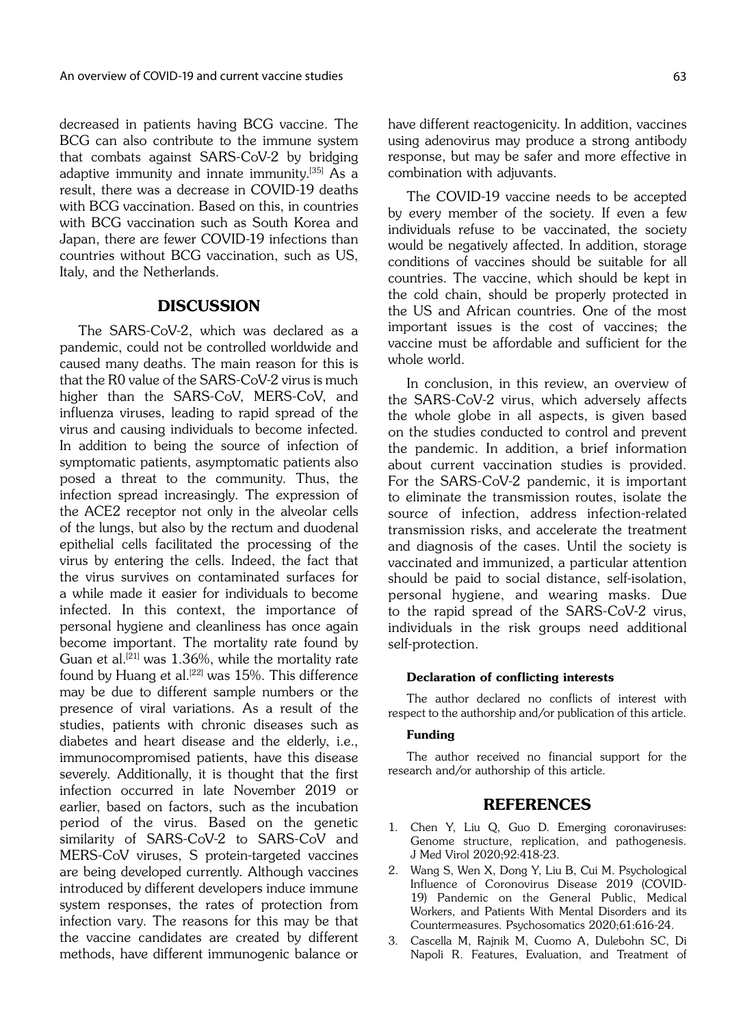decreased in patients having BCG vaccine. The BCG can also contribute to the immune system that combats against SARS-CoV-2 by bridging adaptive immunity and innate immunity.[35] As a result, there was a decrease in COVID-19 deaths with BCG vaccination. Based on this, in countries with BCG vaccination such as South Korea and Japan, there are fewer COVID-19 infections than countries without BCG vaccination, such as US, Italy, and the Netherlands.

# DISCUSSION

The SARS-CoV-2, which was declared as a pandemic, could not be controlled worldwide and caused many deaths. The main reason for this is that the R0 value of the SARS-CoV-2 virus is much higher than the SARS-CoV, MERS-CoV, and influenza viruses, leading to rapid spread of the virus and causing individuals to become infected. In addition to being the source of infection of symptomatic patients, asymptomatic patients also posed a threat to the community. Thus, the infection spread increasingly. The expression of the ACE2 receptor not only in the alveolar cells of the lungs, but also by the rectum and duodenal epithelial cells facilitated the processing of the virus by entering the cells. Indeed, the fact that the virus survives on contaminated surfaces for a while made it easier for individuals to become infected. In this context, the importance of personal hygiene and cleanliness has once again become important. The mortality rate found by Guan et al.<sup>[21]</sup> was  $1.36\%$ , while the mortality rate found by Huang et al.<sup>[22]</sup> was  $15%$ . This difference may be due to different sample numbers or the presence of viral variations. As a result of the studies, patients with chronic diseases such as diabetes and heart disease and the elderly, i.e., immunocompromised patients, have this disease severely. Additionally, it is thought that the first infection occurred in late November 2019 or earlier, based on factors, such as the incubation period of the virus. Based on the genetic similarity of SARS-CoV-2 to SARS-CoV and MERS-CoV viruses, S protein-targeted vaccines are being developed currently. Although vaccines introduced by different developers induce immune system responses, the rates of protection from infection vary. The reasons for this may be that the vaccine candidates are created by different methods, have different immunogenic balance or have different reactogenicity. In addition, vaccines using adenovirus may produce a strong antibody response, but may be safer and more effective in combination with adjuvants.

The COVID-19 vaccine needs to be accepted by every member of the society. If even a few individuals refuse to be vaccinated, the society would be negatively affected. In addition, storage conditions of vaccines should be suitable for all countries. The vaccine, which should be kept in the cold chain, should be properly protected in the US and African countries. One of the most important issues is the cost of vaccines; the vaccine must be affordable and sufficient for the whole world.

In conclusion, in this review, an overview of the SARS-CoV-2 virus, which adversely affects the whole globe in all aspects, is given based on the studies conducted to control and prevent the pandemic. In addition, a brief information about current vaccination studies is provided. For the SARS-CoV-2 pandemic, it is important to eliminate the transmission routes, isolate the source of infection, address infection-related transmission risks, and accelerate the treatment and diagnosis of the cases. Until the society is vaccinated and immunized, a particular attention should be paid to social distance, self-isolation, personal hygiene, and wearing masks. Due to the rapid spread of the SARS-CoV-2 virus, individuals in the risk groups need additional self-protection.

### Declaration of conflicting interests

The author declared no conflicts of interest with respect to the authorship and/or publication of this article.

### Funding

The author received no financial support for the research and/or authorship of this article.

# REFERENCES

- 1. Chen Y, Liu Q, Guo D. Emerging coronaviruses: Genome structure, replication, and pathogenesis. J Med Virol 2020;92:418-23.
- 2. Wang S, Wen X, Dong Y, Liu B, Cui M. Psychological Influence of Coronovirus Disease 2019 (COVID-19) Pandemic on the General Public, Medical Workers, and Patients With Mental Disorders and its Countermeasures. Psychosomatics 2020;61:616-24.
- 3. Cascella M, Rajnik M, Cuomo A, Dulebohn SC, Di Napoli R. Features, Evaluation, and Treatment of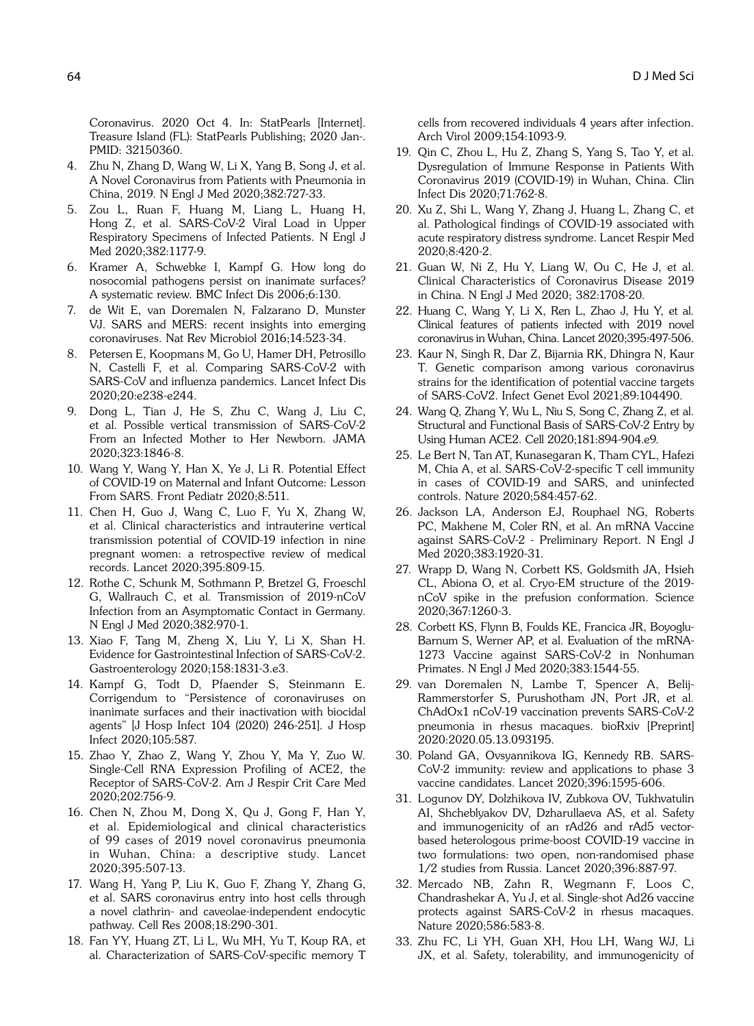Coronavirus. 2020 Oct 4. In: StatPearls [Internet]. Treasure Island (FL): StatPearls Publishing; 2020 Jan-. PMID: 32150360.

- 4. Zhu N, Zhang D, Wang W, Li X, Yang B, Song J, et al. A Novel Coronavirus from Patients with Pneumonia in China, 2019. N Engl J Med 2020;382:727-33.
- Zou L, Ruan F, Huang M, Liang L, Huang H, Hong Z, et al. SARS-CoV-2 Viral Load in Upper Respiratory Specimens of Infected Patients. N Engl J Med 2020;382:1177-9.
- 6. Kramer A, Schwebke I, Kampf G. How long do nosocomial pathogens persist on inanimate surfaces? A systematic review. BMC Infect Dis 2006;6:130.
- 7. de Wit E, van Doremalen N, Falzarano D, Munster VJ. SARS and MERS: recent insights into emerging coronaviruses. Nat Rev Microbiol 2016;14:523-34.
- 8. Petersen E, Koopmans M, Go U, Hamer DH, Petrosillo N, Castelli F, et al. Comparing SARS-CoV-2 with SARS-CoV and influenza pandemics. Lancet Infect Dis 2020;20:e238-e244.
- 9. Dong L, Tian J, He S, Zhu C, Wang J, Liu C, et al. Possible vertical transmission of SARS-CoV-2 From an Infected Mother to Her Newborn. JAMA 2020;323:1846-8.
- 10. Wang Y, Wang Y, Han X, Ye J, Li R. Potential Effect of COVID-19 on Maternal and Infant Outcome: Lesson From SARS. Front Pediatr 2020;8:511.
- 11. Chen H, Guo J, Wang C, Luo F, Yu X, Zhang W, et al. Clinical characteristics and intrauterine vertical transmission potential of COVID-19 infection in nine pregnant women: a retrospective review of medical records. Lancet 2020;395:809-15.
- 12. Rothe C, Schunk M, Sothmann P, Bretzel G, Froeschl G, Wallrauch C, et al. Transmission of 2019-nCoV Infection from an Asymptomatic Contact in Germany. N Engl J Med 2020;382:970-1.
- 13. Xiao F, Tang M, Zheng X, Liu Y, Li X, Shan H. Evidence for Gastrointestinal Infection of SARS-CoV-2. Gastroenterology 2020;158:1831-3.e3.
- 14. Kampf G, Todt D, Pfaender S, Steinmann E. Corrigendum to "Persistence of coronaviruses on inanimate surfaces and their inactivation with biocidal agents" [J Hosp Infect 104 (2020) 246-251]. J Hosp Infect 2020;105:587.
- 15. Zhao Y, Zhao Z, Wang Y, Zhou Y, Ma Y, Zuo W. Single-Cell RNA Expression Profiling of ACE2, the Receptor of SARS-CoV-2. Am J Respir Crit Care Med 2020;202:756-9.
- 16. Chen N, Zhou M, Dong X, Qu J, Gong F, Han Y, et al. Epidemiological and clinical characteristics of 99 cases of 2019 novel coronavirus pneumonia in Wuhan, China: a descriptive study. Lancet 2020;395:507-13.
- 17. Wang H, Yang P, Liu K, Guo F, Zhang Y, Zhang G, et al. SARS coronavirus entry into host cells through a novel clathrin- and caveolae-independent endocytic pathway. Cell Res 2008;18:290-301.
- 18. Fan YY, Huang ZT, Li L, Wu MH, Yu T, Koup RA, et al. Characterization of SARS-CoV-specific memory T

cells from recovered individuals 4 years after infection. Arch Virol 2009;154:1093-9.

- 19. Qin C, Zhou L, Hu Z, Zhang S, Yang S, Tao Y, et al. Dysregulation of Immune Response in Patients With Coronavirus 2019 (COVID-19) in Wuhan, China. Clin Infect Dis 2020;71:762-8.
- 20. Xu Z, Shi L, Wang Y, Zhang J, Huang L, Zhang C, et al. Pathological findings of COVID-19 associated with acute respiratory distress syndrome. Lancet Respir Med 2020;8:420-2.
- 21. Guan W, Ni Z, Hu Y, Liang W, Ou C, He J, et al. Clinical Characteristics of Coronavirus Disease 2019 in China. N Engl J Med 2020; 382:1708-20.
- 22. Huang C, Wang Y, Li X, Ren L, Zhao J, Hu Y, et al. Clinical features of patients infected with 2019 novel coronavirus in Wuhan, China. Lancet 2020;395:497-506.
- 23. Kaur N, Singh R, Dar Z, Bijarnia RK, Dhingra N, Kaur T. Genetic comparison among various coronavirus strains for the identification of potential vaccine targets of SARS-CoV2. Infect Genet Evol 2021;89:104490.
- 24. Wang Q, Zhang Y, Wu L, Niu S, Song C, Zhang Z, et al. Structural and Functional Basis of SARS-CoV-2 Entry by Using Human ACE2. Cell 2020;181:894-904.e9.
- 25. Le Bert N, Tan AT, Kunasegaran K, Tham CYL, Hafezi M, Chia A, et al. SARS-CoV-2-specific T cell immunity in cases of COVID-19 and SARS, and uninfected controls. Nature 2020;584:457-62.
- 26. Jackson LA, Anderson EJ, Rouphael NG, Roberts PC, Makhene M, Coler RN, et al. An mRNA Vaccine against SARS-CoV-2 - Preliminary Report. N Engl J Med 2020;383:1920-31.
- 27. Wrapp D, Wang N, Corbett KS, Goldsmith JA, Hsieh CL, Abiona O, et al. Cryo-EM structure of the 2019 nCoV spike in the prefusion conformation. Science 2020;367:1260-3.
- 28. Corbett KS, Flynn B, Foulds KE, Francica JR, Boyoglu-Barnum S, Werner AP, et al. Evaluation of the mRNA-1273 Vaccine against SARS-CoV-2 in Nonhuman Primates. N Engl J Med 2020;383:1544-55.
- 29. van Doremalen N, Lambe T, Spencer A, Belij-Rammerstorfer S, Purushotham JN, Port JR, et al. ChAdOx1 nCoV-19 vaccination prevents SARS-CoV-2 pneumonia in rhesus macaques. bioRxiv [Preprint] 2020:2020.05.13.093195.
- 30. Poland GA, Ovsyannikova IG, Kennedy RB. SARS-CoV-2 immunity: review and applications to phase 3 vaccine candidates. Lancet 2020;396:1595-606.
- 31. Logunov DY, Dolzhikova IV, Zubkova OV, Tukhvatulin AI, Shcheblyakov DV, Dzharullaeva AS, et al. Safety and immunogenicity of an rAd26 and rAd5 vectorbased heterologous prime-boost COVID-19 vaccine in two formulations: two open, non-randomised phase 1/2 studies from Russia. Lancet 2020;396:887-97.
- 32. Mercado NB, Zahn R, Wegmann F, Loos C, Chandrashekar A, Yu J, et al. Single-shot Ad26 vaccine protects against SARS-CoV-2 in rhesus macaques. Nature 2020;586:583-8.
- 33. Zhu FC, Li YH, Guan XH, Hou LH, Wang WJ, Li JX, et al. Safety, tolerability, and immunogenicity of